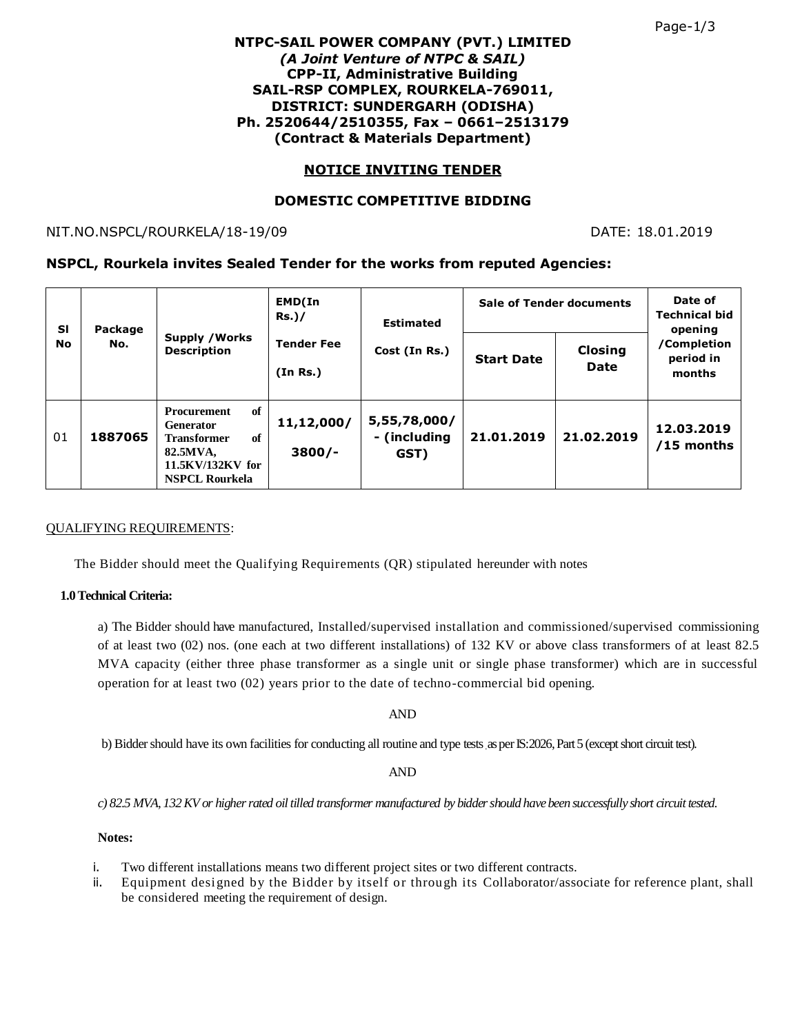## **NTPC-SAIL POWER COMPANY (PVT.) LIMITED** *(A Joint Venture of NTPC & SAIL)* **CPP-II, Administrative Building SAIL-RSP COMPLEX, ROURKELA-769011, DISTRICT: SUNDERGARH (ODISHA) Ph. 2520644/2510355, Fax – 0661–2513179 (Contract & Materials Department)**

# **NOTICE INVITING TENDER**

# **DOMESTIC COMPETITIVE BIDDING**

NIT.NO.NSPCL/ROURKELA/18-19/09 DATE: 18.01.2019

## **NSPCL, Rourkela invites Sealed Tender for the works from reputed Agencies:**

| <b>SI</b><br>No | Package<br>No. | <b>Supply / Works</b><br><b>Description</b>                                                                                | EMD(In<br>$Rs.$ )/<br><b>Tender Fee</b><br>(In Rs.) | <b>Estimated</b><br>Cost (In Rs.)    | <b>Sale of Tender documents</b> |                 | Date of<br><b>Technical bid</b><br>opening |
|-----------------|----------------|----------------------------------------------------------------------------------------------------------------------------|-----------------------------------------------------|--------------------------------------|---------------------------------|-----------------|--------------------------------------------|
|                 |                |                                                                                                                            |                                                     |                                      | <b>Start Date</b>               | Closing<br>Date | /Completion<br>period in<br>months         |
| 01              | 1887065        | of<br>Procurement<br><b>Generator</b><br>of<br><b>Transformer</b><br>82.5MVA,<br>11.5KV/132KV for<br><b>NSPCL Rourkela</b> | 11,12,000/<br>$3800/-$                              | 5,55,78,000/<br>- (including<br>GST) | 21.01.2019                      | 21.02.2019      | 12.03.2019<br>$/15$ months                 |

### QUALIFYING REQUIREMENTS:

The Bidder should meet the Qualifying Requirements (QR) stipulated hereunder with notes

### **1.0 Technical Criteria:**

a) The Bidder should have manufactured, Installed/supervised installation and commissioned/supervised commissioning of at least two (02) nos. (one each at two different installations) of 132 KV or above class transformers of at least 82.5 MVA capacity (either three phase transformer as a single unit or single phase transformer) which are in successful operation for at least two (02) years prior to the date of techno-commercial bid opening.

AND

b) Bidder should have its own facilities for conducting all routine and type tests .as per IS:2026, Part 5 (except short circuit test).

AND

*c) 82.5 MVA, 132 KV or higher rated oil tilled transformer manufactured by bidder should have been successfully short circuit tested.*

### **Notes:**

- i. Two different installations means two different project sites or two different contracts.
- ii. Equipment designed by the Bidder by itself or through its Collaborator/associate for reference plant, shall be considered meeting the requirement of design.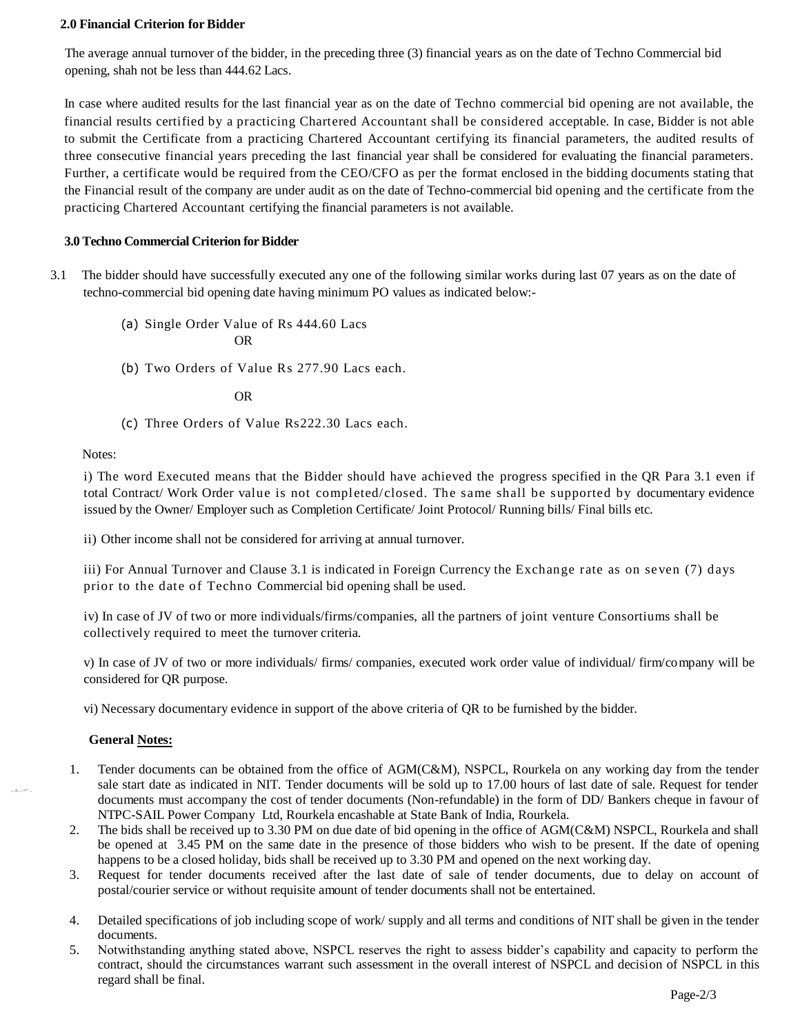#### **2.0 Financial Criterion for Bidder**

The average annual turnover of the bidder, in the preceding three (3) financial years as on the date of Techno Commercial bid opening, shah not be less than 444.62 Lacs.

In case where audited results for the last financial year as on the date of Techno commercial bid opening are not available, the financial results certified by a practicing Chartered Accountant shall be considered acceptable. In case, Bidder is not able to submit the Certificate from a practicing Chartered Accountant certifying its financial parameters, the audited results of three consecutive financial years preceding the last financial year shall be considered for evaluating the financial parameters. Further, a certificate would be required from the CEO/CFO as per the format enclosed in the bidding documents stating that the Financial result of the company are under audit as on the date of Techno-commercial bid opening and the certificate from the practicing Chartered Accountant certifying the financial parameters is not available.

#### **3.0 Techno Commercial Criterion for Bidder**

- 3.1 The bidder should have successfully executed any one of the following similar works during last 07 years as on the date of techno-commercial bid opening date having minimum PO values as indicated below:-
	- (a) Single Order Value of Rs 444.60 Lacs OR
	- (b) Two Orders of Value Rs 277.90 Lacs each.

OR

(c) Three Orders of Value Rs222.30 Lacs each.

Notes:

i) The word Executed means that the Bidder should have achieved the progress specified in the QR Para 3.1 even if total Contract/ Work Order value is not completed/closed. The same shall be supported by documentary evidence issued by the Owner/ Employer such as Completion Certificate/ Joint Protocol/ Running bills/ Final bills etc.

ii) Other income shall not be considered for arriving at annual turnover.

iii) For Annual Turnover and Clause 3.1 is indicated in Foreign Currency the Exchange rate as on se ven (7) days prior to the date of Techno Commercial bid opening shall be used.

iv) In case of JV of two or more individuals/firms/companies, all the partners of joint venture Consortiums shall be collectively required to meet the turnover criteria.

v) In case of JV of two or more individuals/ firms/ companies, executed work order value of individual/ firm/company will be considered for QR purpose.

vi) Necessary documentary evidence in support of the above criteria of QR to be furnished by the bidder.

#### **General Notes:**

,,,1,,,,-• ^ ,,

- 1. Tender documents can be obtained from the office of AGM(C&M), NSPCL, Rourkela on any working day from the tender sale start date as indicated in NIT. Tender documents will be sold up to 17.00 hours of last date of sale. Request for tender documents must accompany the cost of tender documents (Non-refundable) in the form of DD/ Bankers cheque in favour of NTPC-SAIL Power Company Ltd, Rourkela encashable at State Bank of India, Rourkela.
- 2. The bids shall be received up to 3.30 PM on due date of bid opening in the office of AGM(C&M) NSPCL, Rourkela and shall be opened at 3.45 PM on the same date in the presence of those bidders who wish to be present. If the date of opening happens to be a closed holiday, bids shall be received up to 3.30 PM and opened on the next working day.
- 3. Request for tender documents received after the last date of sale of tender documents, due to delay on account of postal/courier service or without requisite amount of tender documents shall not be entertained.
- 4. Detailed specifications of job including scope of work/ supply and all terms and conditions of NIT shall be given in the tender documents.
- 5. Notwithstanding anything stated above, NSPCL reserves the right to assess bidder's capability and capacity to perform the contract, should the circumstances warrant such assessment in the overall interest of NSPCL and decision of NSPCL in this regard shall be final.